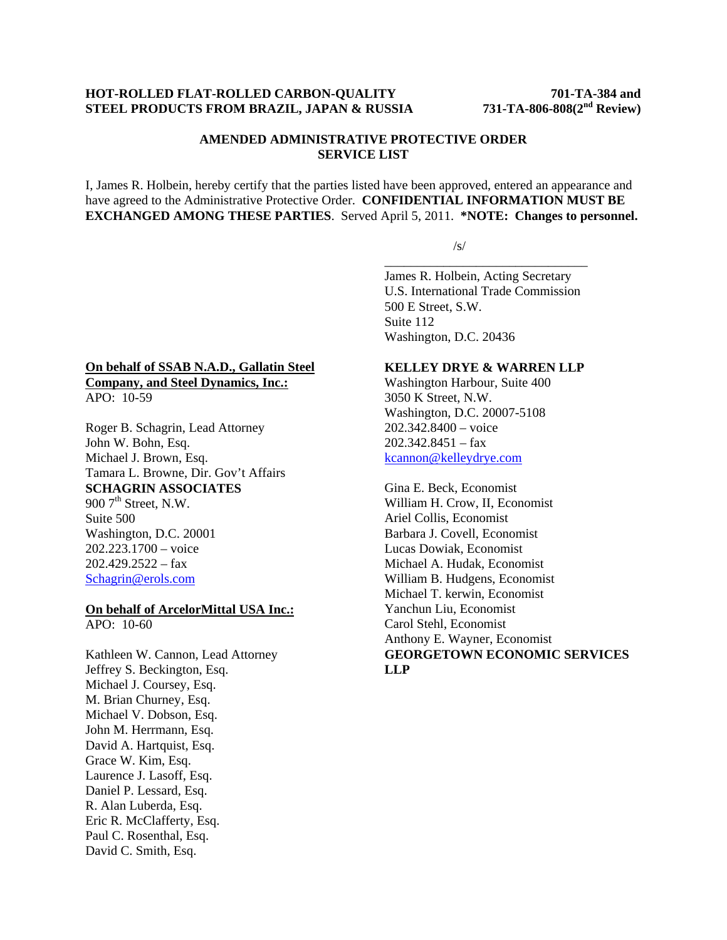#### **HOT-ROLLED FLAT-ROLLED CARBON-QUALITY 701-TA-384 and STEEL PRODUCTS FROM BRAZIL, JAPAN & RUSSIA 731-TA-806-808(2nd Review)**

## **AMENDED ADMINISTRATIVE PROTECTIVE ORDER SERVICE LIST**

I, James R. Holbein, hereby certify that the parties listed have been approved, entered an appearance and have agreed to the Administrative Protective Order. **CONFIDENTIAL INFORMATION MUST BE EXCHANGED AMONG THESE PARTIES**. Served April 5, 2011. **\*NOTE: Changes to personnel.** 

 $\overline{\phantom{a}}$  , and the contract of the contract of the contract of the contract of the contract of the contract of the contract of the contract of the contract of the contract of the contract of the contract of the contrac

 $\sqrt{s}$ /s/

James R. Holbein, Acting Secretary U.S. International Trade Commission 500 E Street, S.W. Suite 112 Washington, D.C. 20436

#### **On behalf of SSAB N.A.D., Gallatin Steel Company, and Steel Dynamics, Inc.:** APO: 10-59

Roger B. Schagrin, Lead Attorney John W. Bohn, Esq. Michael J. Brown, Esq. Tamara L. Browne, Dir. Gov't Affairs **SCHAGRIN ASSOCIATES**  $900$   $7<sup>th</sup>$  Street, N.W. Suite 500 Washington, D.C. 20001 202.223.1700 – voice  $202.429.2522 - fax$ Schagrin@erols.com

# **On behalf of ArcelorMittal USA Inc.:**

 $APO: 10-60$ 

Kathleen W. Cannon, Lead Attorney Jeffrey S. Beckington, Esq. Michael J. Coursey, Esq. M. Brian Churney, Esq. Michael V. Dobson, Esq. John M. Herrmann, Esq. David A. Hartquist, Esq. Grace W. Kim, Esq. Laurence J. Lasoff, Esq. Daniel P. Lessard, Esq. R. Alan Luberda, Esq. Eric R. McClafferty, Esq. Paul C. Rosenthal, Esq. David C. Smith, Esq.

## **KELLEY DRYE & WARREN LLP**

Washington Harbour, Suite 400 3050 K Street, N.W. Washington, D.C. 20007-5108 202.342.8400 – voice 202.342.8451 – fax kcannon@kelleydrye.com

Gina E. Beck, Economist William H. Crow, II, Economist Ariel Collis, Economist Barbara J. Covell, Economist Lucas Dowiak, Economist Michael A. Hudak, Economist William B. Hudgens, Economist Michael T. kerwin, Economist Yanchun Liu, Economist Carol Stehl, Economist Anthony E. Wayner, Economist **GEORGETOWN ECONOMIC SERVICES LLP**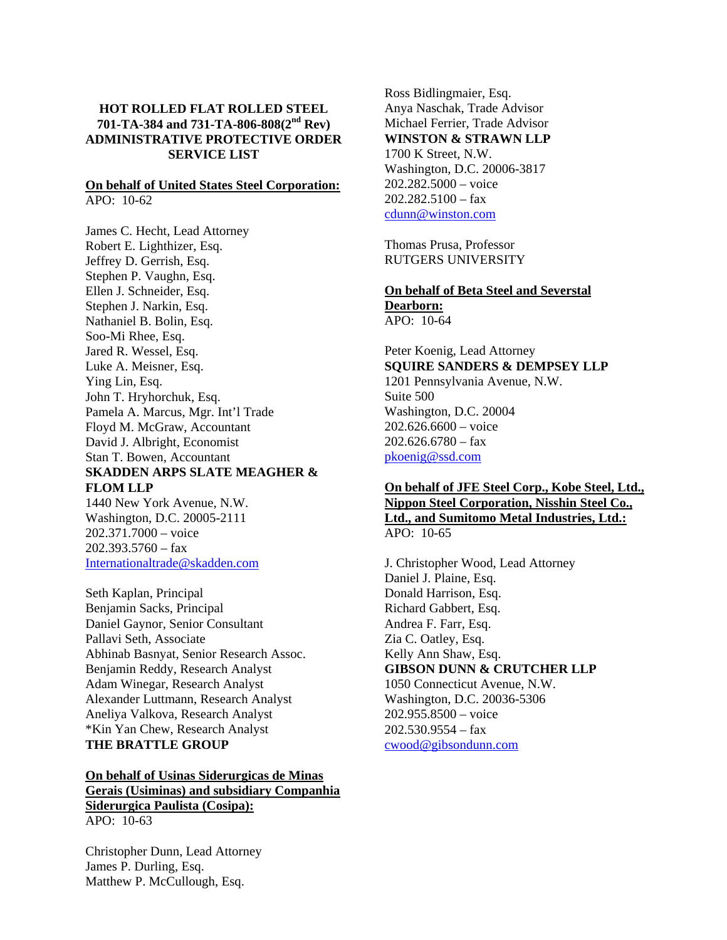### **HOT ROLLED FLAT ROLLED STEEL 701-TA-384 and 731-TA-806-808(2nd Rev) ADMINISTRATIVE PROTECTIVE ORDER SERVICE LIST**

#### **On behalf of United States Steel Corporation:** APO: 10-62

James C. Hecht, Lead Attorney Robert E. Lighthizer, Esq. Jeffrey D. Gerrish, Esq. Stephen P. Vaughn, Esq. Ellen J. Schneider, Esq. Stephen J. Narkin, Esq. Nathaniel B. Bolin, Esq. Soo-Mi Rhee, Esq. Jared R. Wessel, Esq. Luke A. Meisner, Esq. Ying Lin, Esq. John T. Hryhorchuk, Esq. Pamela A. Marcus, Mgr. Int'l Trade Floyd M. McGraw, Accountant David J. Albright, Economist Stan T. Bowen, Accountant **SKADDEN ARPS SLATE MEAGHER & FLOM LLP** 

1440 New York Avenue, N.W. Washington, D.C. 20005-2111 202.371.7000 – voice  $202.393.5760 - fax$ Internationaltrade@skadden.com

Seth Kaplan, Principal Benjamin Sacks, Principal Daniel Gaynor, Senior Consultant Pallavi Seth, Associate Abhinab Basnyat, Senior Research Assoc. Benjamin Reddy, Research Analyst Adam Winegar, Research Analyst Alexander Luttmann, Research Analyst Aneliya Valkova, Research Analyst \*Kin Yan Chew, Research Analyst **THE BRATTLE GROUP** 

## **On behalf of Usinas Siderurgicas de Minas Gerais (Usiminas) and subsidiary Companhia Siderurgica Paulista (Cosipa):** APO: 10-63

Christopher Dunn, Lead Attorney James P. Durling, Esq. Matthew P. McCullough, Esq.

Ross Bidlingmaier, Esq. Anya Naschak, Trade Advisor Michael Ferrier, Trade Advisor **WINSTON & STRAWN LLP** 1700 K Street, N.W. Washington, D.C. 20006-3817 202.282.5000 – voice  $202.282.5100 - fax$ cdunn@winston.com

Thomas Prusa, Professor RUTGERS UNIVERSITY

#### **On behalf of Beta Steel and Severstal Dearborn:** APO: 10-64

Peter Koenig, Lead Attorney **SQUIRE SANDERS & DEMPSEY LLP** 1201 Pennsylvania Avenue, N.W. Suite 500 Washington, D.C. 20004 202.626.6600 – voice  $202.626.6780 -$ fax pkoenig@ssd.com

## **On behalf of JFE Steel Corp., Kobe Steel, Ltd., Nippon Steel Corporation, Nisshin Steel Co., Ltd., and Sumitomo Metal Industries, Ltd.:** APO: 10-65

J. Christopher Wood, Lead Attorney Daniel J. Plaine, Esq. Donald Harrison, Esq. Richard Gabbert, Esq. Andrea F. Farr, Esq. Zia C. Oatley, Esq. Kelly Ann Shaw, Esq. **GIBSON DUNN & CRUTCHER LLP** 1050 Connecticut Avenue, N.W. Washington, D.C. 20036-5306 202.955.8500 – voice  $202.530.9554 - fax$ cwood@gibsondunn.com